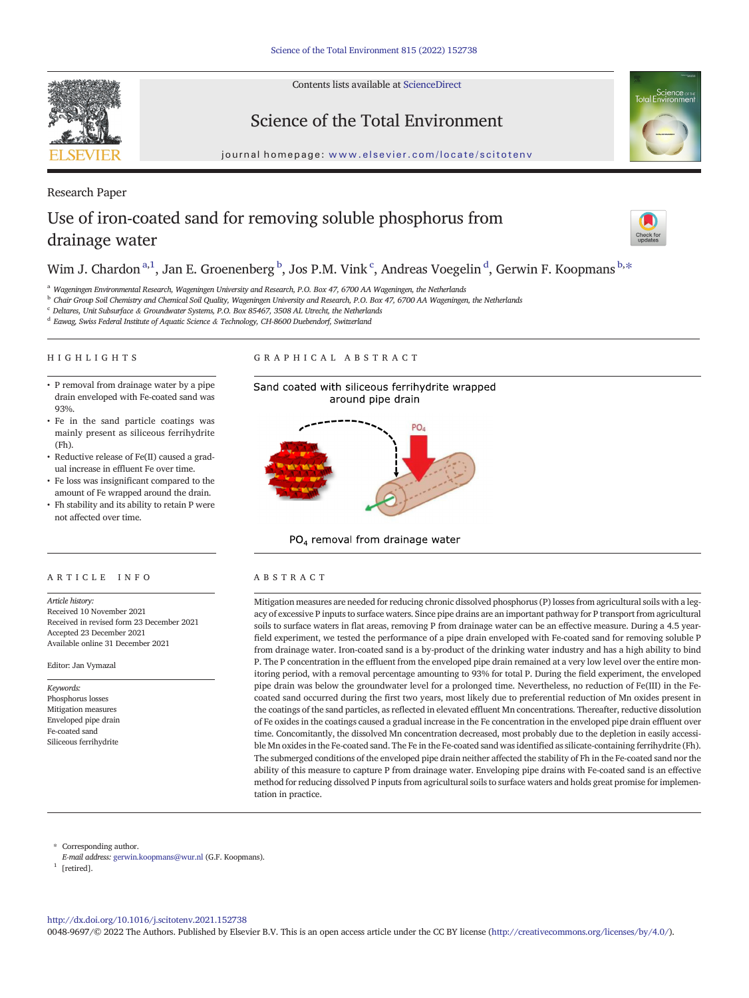Contents lists available at [ScienceDirect](http://www.sciencedirect.com/science/journal/)





journal homepage: <www.elsevier.com/locate/scitotenv>

# Research Paper Use of iron-coated sand for removing soluble phosphorus from drainage water



# Wim J. Chardon  $\mathrm{^{a,1}}$ , Jan E. Groenenberg  $\mathrm{^{b}}$ , Jos P.M. Vink  $\mathrm{^{c}}$ , Andreas Voegelin  $\mathrm{^{d}}$ , Gerwin F. Koopmans  $\mathrm{^{b,*}}$

<sup>a</sup> Wageningen Environmental Research, Wageningen University and Research, P.O. Box 47, 6700 AA Wageningen, the Netherlands

<sup>b</sup> Chair Group Soil Chemistry and Chemical Soil Quality, Wageningen University and Research, P.O. Box 47, 6700 AA Wageningen, the Netherlands

 $\degree$  Deltares, Unit Subsurface & Groundwater Systems, P.O. Box 85467, 3508 AL Utrecht, the Netherlands

<sup>d</sup> Eawag, Swiss Federal Institute of Aquatic Science & Technology, CH-8600 Duebendorf, Switzerland

### HIGHLIGHTS

#### GRAPHICAL ABSTRACT



- Fe in the sand particle coatings was mainly present as siliceous ferrihydrite  $(Fh)$ .
- Reductive release of Fe(II) caused a gradual increase in effluent Fe over time.
- Fe loss was insignificant compared to the amount of Fe wrapped around the drain.
- Fh stability and its ability to retain P were not affected over time.





PO<sub>4</sub> removal from drainage water

Mitigation measures are needed for reducing chronic dissolved phosphorus (P) losses from agricultural soils with a legacy of excessive P inputs to surface waters. Since pipe drains are an important pathway for P transport from agricultural soils to surface waters in flat areas, removing P from drainage water can be an effective measure. During a 4.5 yearfield experiment, we tested the performance of a pipe drain enveloped with Fe-coated sand for removing soluble P from drainage water. Iron-coated sand is a by-product of the drinking water industry and has a high ability to bind P. The P concentration in the effluent from the enveloped pipe drain remained at a very low level over the entire monitoring period, with a removal percentage amounting to 93% for total P. During the field experiment, the enveloped pipe drain was below the groundwater level for a prolonged time. Nevertheless, no reduction of Fe(III) in the Fecoated sand occurred during the first two years, most likely due to preferential reduction of Mn oxides present in the coatings of the sand particles, as reflected in elevated effluent Mn concentrations. Thereafter, reductive dissolution of Fe oxides in the coatings caused a gradual increase in the Fe concentration in the enveloped pipe drain effluent over time. Concomitantly, the dissolved Mn concentration decreased, most probably due to the depletion in easily accessible Mn oxides in the Fe-coated sand. The Fe in the Fe-coated sand was identified as silicate-containing ferrihydrite (Fh). The submerged conditions of the enveloped pipe drain neither affected the stability of Fh in the Fe-coated sand nor the ability of this measure to capture P from drainage water. Enveloping pipe drains with Fe-coated sand is an effective method for reducing dissolved P inputs from agricultural soils to surface waters and holds great promise for implementation in practice.

⁎ Corresponding author.

E-mail address: <gerwin.koopmans@wur.nl> (G.F. Koopmans).

 $^{\rm 1}$  [retired].

<http://dx.doi.org/10.1016/j.scitotenv.2021.152738> 0048-9697/© 2022 The Authors. Published by Elsevier B.V. This is an open access article under the CC BY license [\(http://creativecommons.org/licenses/by/4.0/](http://creativecommons.org/licenses/by/4.0/)).

# ARTICLE INFO ABSTRACT

Article history: Received 10 November 2021 Received in revised form 23 December 2021 Accepted 23 December 2021 Available online 31 December 2021

Editor: Jan Vymazal

Keywords: Phosphorus losses Mitigation measures Enveloped pipe drain Fe-coated sand Siliceous ferrihydrite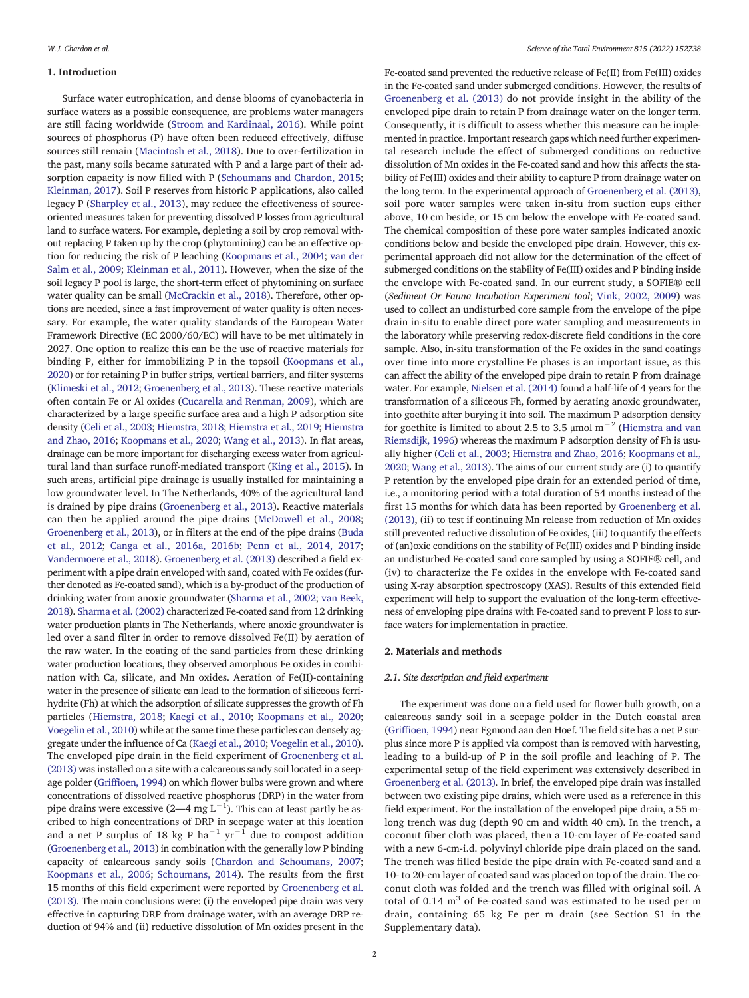### 1. Introduction

Surface water eutrophication, and dense blooms of cyanobacteria in surface waters as a possible consequence, are problems water managers are still facing worldwide [\(Stroom and Kardinaal, 2016\)](#page-9-0). While point sources of phosphorus (P) have often been reduced effectively, diffuse sources still remain [\(Macintosh et al., 2018\)](#page-8-0). Due to over-fertilization in the past, many soils became saturated with P and a large part of their adsorption capacity is now filled with P [\(Schoumans and Chardon, 2015](#page-9-0); [Kleinman, 2017\)](#page-8-0). Soil P reserves from historic P applications, also called legacy P ([Sharpley et al., 2013](#page-9-0)), may reduce the effectiveness of sourceoriented measures taken for preventing dissolved P losses from agricultural land to surface waters. For example, depleting a soil by crop removal without replacing P taken up by the crop (phytomining) can be an effective option for reducing the risk of P leaching [\(Koopmans et al., 2004](#page-8-0); [van der](#page-8-0) [Salm et al., 2009](#page-8-0); [Kleinman et al., 2011\)](#page-8-0). However, when the size of the soil legacy P pool is large, the short-term effect of phytomining on surface water quality can be small ([McCrackin et al., 2018](#page-8-0)). Therefore, other options are needed, since a fast improvement of water quality is often necessary. For example, the water quality standards of the European Water Framework Directive (EC 2000/60/EC) will have to be met ultimately in 2027. One option to realize this can be the use of reactive materials for binding P, either for immobilizing P in the topsoil [\(Koopmans et al.,](#page-8-0) [2020](#page-8-0)) or for retaining P in buffer strips, vertical barriers, and filter systems [\(Klimeski et al., 2012;](#page-8-0) [Groenenberg et al., 2013\)](#page-8-0). These reactive materials often contain Fe or Al oxides ([Cucarella and Renman, 2009\)](#page-8-0), which are characterized by a large specific surface area and a high P adsorption site density [\(Celi et al., 2003](#page-8-0); [Hiemstra, 2018](#page-8-0); [Hiemstra et al., 2019;](#page-8-0) [Hiemstra](#page-8-0) [and Zhao, 2016;](#page-8-0) [Koopmans et al., 2020;](#page-8-0) [Wang et al., 2013](#page-9-0)). In flat areas, drainage can be more important for discharging excess water from agricultural land than surface runoff-mediated transport [\(King et al., 2015\)](#page-8-0). In such areas, artificial pipe drainage is usually installed for maintaining a low groundwater level. In The Netherlands, 40% of the agricultural land is drained by pipe drains ([Groenenberg et al., 2013](#page-8-0)). Reactive materials can then be applied around the pipe drains [\(McDowell et al., 2008](#page-8-0); [Groenenberg et al., 2013\)](#page-8-0), or in filters at the end of the pipe drains ([Buda](#page-8-0) [et al., 2012](#page-8-0); [Canga et al., 2016a, 2016b;](#page-8-0) [Penn et al., 2014, 2017](#page-8-0); [Vandermoere et al., 2018\)](#page-9-0). [Groenenberg et al. \(2013\)](#page-8-0) described a field experiment with a pipe drain enveloped with sand, coated with Fe oxides (further denoted as Fe-coated sand), which is a by-product of the production of drinking water from anoxic groundwater ([Sharma et al., 2002](#page-9-0); [van Beek,](#page-8-0) [2018](#page-8-0)). [Sharma et al. \(2002\)](#page-9-0) characterized Fe-coated sand from 12 drinking water production plants in The Netherlands, where anoxic groundwater is led over a sand filter in order to remove dissolved Fe(II) by aeration of the raw water. In the coating of the sand particles from these drinking water production locations, they observed amorphous Fe oxides in combination with Ca, silicate, and Mn oxides. Aeration of Fe(II)-containing water in the presence of silicate can lead to the formation of siliceous ferrihydrite (Fh) at which the adsorption of silicate suppresses the growth of Fh particles ([Hiemstra, 2018](#page-8-0); [Kaegi et al., 2010;](#page-8-0) [Koopmans et al., 2020](#page-8-0); [Voegelin et al., 2010\)](#page-9-0) while at the same time these particles can densely aggregate under the influence of Ca [\(Kaegi et al., 2010](#page-8-0); [Voegelin et al., 2010](#page-9-0)). The enveloped pipe drain in the field experiment of [Groenenberg et al.](#page-8-0) [\(2013\)](#page-8-0) was installed on a site with a calcareous sandy soil located in a seepage polder (Griffi[oen, 1994\)](#page-8-0) on which flower bulbs were grown and where concentrations of dissolved reactive phosphorus (DRP) in the water from pipe drains were excessive (2—4 mg L<sup>-1</sup>). This can at least partly be ascribed to high concentrations of DRP in seepage water at this location and a net P surplus of 18 kg P ha<sup>-1</sup> yr<sup>-1</sup> due to compost addition [\(Groenenberg et al., 2013](#page-8-0)) in combination with the generally low P binding capacity of calcareous sandy soils ([Chardon and Schoumans, 2007](#page-8-0); [Koopmans et al., 2006;](#page-8-0) [Schoumans, 2014\)](#page-9-0). The results from the first 15 months of this field experiment were reported by [Groenenberg et al.](#page-8-0) [\(2013\).](#page-8-0) The main conclusions were: (i) the enveloped pipe drain was very effective in capturing DRP from drainage water, with an average DRP reduction of 94% and (ii) reductive dissolution of Mn oxides present in the

Fe-coated sand prevented the reductive release of Fe(II) from Fe(III) oxides in the Fe-coated sand under submerged conditions. However, the results of [Groenenberg et al. \(2013\)](#page-8-0) do not provide insight in the ability of the enveloped pipe drain to retain P from drainage water on the longer term. Consequently, it is difficult to assess whether this measure can be implemented in practice. Important research gaps which need further experimental research include the effect of submerged conditions on reductive dissolution of Mn oxides in the Fe-coated sand and how this affects the stability of Fe(III) oxides and their ability to capture P from drainage water on the long term. In the experimental approach of [Groenenberg et al. \(2013\),](#page-8-0) soil pore water samples were taken in-situ from suction cups either above, 10 cm beside, or 15 cm below the envelope with Fe-coated sand. The chemical composition of these pore water samples indicated anoxic conditions below and beside the enveloped pipe drain. However, this experimental approach did not allow for the determination of the effect of submerged conditions on the stability of Fe(III) oxides and P binding inside the envelope with Fe-coated sand. In our current study, a SOFIE® cell (Sediment Or Fauna Incubation Experiment tool; [Vink, 2002, 2009](#page-9-0)) was used to collect an undisturbed core sample from the envelope of the pipe drain in-situ to enable direct pore water sampling and measurements in the laboratory while preserving redox-discrete field conditions in the core sample. Also, in-situ transformation of the Fe oxides in the sand coatings over time into more crystalline Fe phases is an important issue, as this can affect the ability of the enveloped pipe drain to retain P from drainage water. For example, [Nielsen et al. \(2014\)](#page-8-0) found a half-life of 4 years for the transformation of a siliceous Fh, formed by aerating anoxic groundwater, into goethite after burying it into soil. The maximum P adsorption density for goethite is limited to about 2.5 to 3.5 µmol m<sup>-2</sup> [\(Hiemstra and van](#page-8-0) [Riemsdijk, 1996](#page-8-0)) whereas the maximum P adsorption density of Fh is usually higher ([Celi et al., 2003](#page-8-0); [Hiemstra and Zhao, 2016;](#page-8-0) [Koopmans et al.,](#page-8-0) [2020;](#page-8-0) [Wang et al., 2013\)](#page-9-0). The aims of our current study are (i) to quantify P retention by the enveloped pipe drain for an extended period of time, i.e., a monitoring period with a total duration of 54 months instead of the first 15 months for which data has been reported by [Groenenberg et al.](#page-8-0) [\(2013\),](#page-8-0) (ii) to test if continuing Mn release from reduction of Mn oxides still prevented reductive dissolution of Fe oxides, (iii) to quantify the effects of (an)oxic conditions on the stability of Fe(III) oxides and P binding inside an undisturbed Fe-coated sand core sampled by using a SOFIE® cell, and (iv) to characterize the Fe oxides in the envelope with Fe-coated sand using X-ray absorption spectroscopy (XAS). Results of this extended field experiment will help to support the evaluation of the long-term effectiveness of enveloping pipe drains with Fe-coated sand to prevent P loss to surface waters for implementation in practice.

### 2. Materials and methods

### 2.1. Site description and field experiment

The experiment was done on a field used for flower bulb growth, on a calcareous sandy soil in a seepage polder in the Dutch coastal area (Griffi[oen, 1994\)](#page-8-0) near Egmond aan den Hoef. The field site has a net P surplus since more P is applied via compost than is removed with harvesting, leading to a build-up of P in the soil profile and leaching of P. The experimental setup of the field experiment was extensively described in [Groenenberg et al. \(2013\)](#page-8-0). In brief, the enveloped pipe drain was installed between two existing pipe drains, which were used as a reference in this field experiment. For the installation of the enveloped pipe drain, a 55 mlong trench was dug (depth 90 cm and width 40 cm). In the trench, a coconut fiber cloth was placed, then a 10-cm layer of Fe-coated sand with a new 6-cm-i.d. polyvinyl chloride pipe drain placed on the sand. The trench was filled beside the pipe drain with Fe-coated sand and a 10- to 20-cm layer of coated sand was placed on top of the drain. The coconut cloth was folded and the trench was filled with original soil. A total of  $0.14 \text{ m}^3$  of Fe-coated sand was estimated to be used per m drain, containing 65 kg Fe per m drain (see Section S1 in the Supplementary data).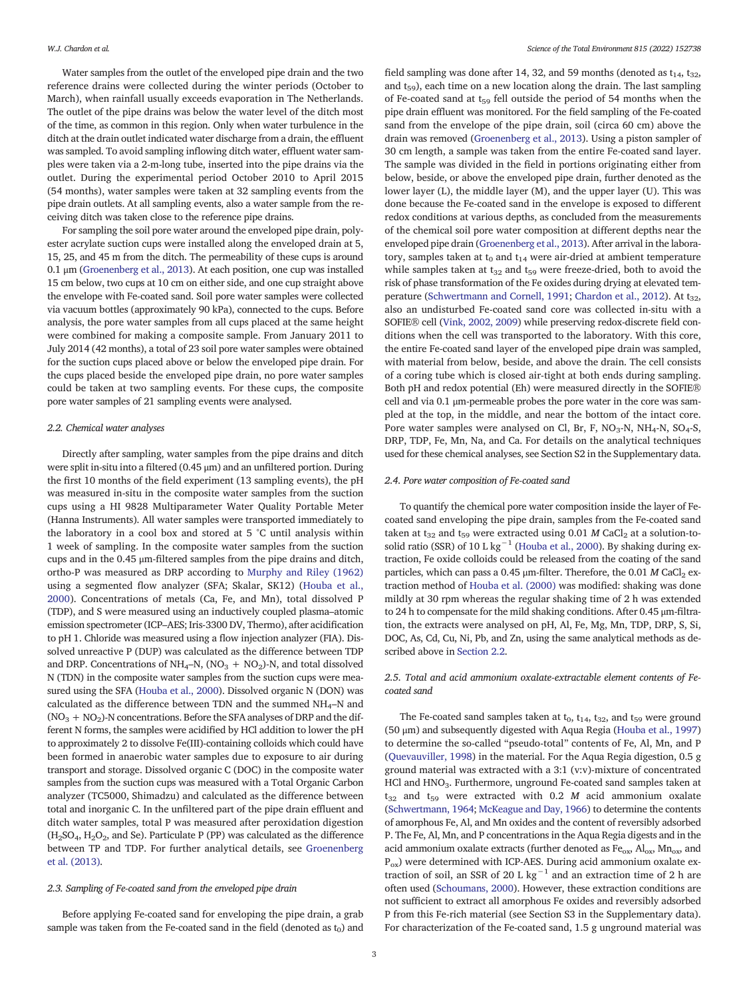Water samples from the outlet of the enveloped pipe drain and the two reference drains were collected during the winter periods (October to March), when rainfall usually exceeds evaporation in The Netherlands. The outlet of the pipe drains was below the water level of the ditch most of the time, as common in this region. Only when water turbulence in the ditch at the drain outlet indicated water discharge from a drain, the effluent was sampled. To avoid sampling inflowing ditch water, effluent water samples were taken via a 2-m-long tube, inserted into the pipe drains via the outlet. During the experimental period October 2010 to April 2015 (54 months), water samples were taken at 32 sampling events from the pipe drain outlets. At all sampling events, also a water sample from the receiving ditch was taken close to the reference pipe drains.

For sampling the soil pore water around the enveloped pipe drain, polyester acrylate suction cups were installed along the enveloped drain at 5, 15, 25, and 45 m from the ditch. The permeability of these cups is around 0.1 μm [\(Groenenberg et al., 2013](#page-8-0)). At each position, one cup was installed 15 cm below, two cups at 10 cm on either side, and one cup straight above the envelope with Fe-coated sand. Soil pore water samples were collected via vacuum bottles (approximately 90 kPa), connected to the cups. Before analysis, the pore water samples from all cups placed at the same height were combined for making a composite sample. From January 2011 to July 2014 (42 months), a total of 23 soil pore water samples were obtained for the suction cups placed above or below the enveloped pipe drain. For the cups placed beside the enveloped pipe drain, no pore water samples could be taken at two sampling events. For these cups, the composite pore water samples of 21 sampling events were analysed.

#### 2.2. Chemical water analyses

Directly after sampling, water samples from the pipe drains and ditch were split in-situ into a filtered (0.45 μm) and an unfiltered portion. During the first 10 months of the field experiment (13 sampling events), the pH was measured in-situ in the composite water samples from the suction cups using a HI 9828 Multiparameter Water Quality Portable Meter (Hanna Instruments). All water samples were transported immediately to the laboratory in a cool box and stored at 5 °C until analysis within 1 week of sampling. In the composite water samples from the suction cups and in the 0.45 μm-filtered samples from the pipe drains and ditch, ortho-P was measured as DRP according to [Murphy and Riley \(1962\)](#page-8-0) using a segmented flow analyzer (SFA; Skalar, SK12) ([Houba et al.,](#page-8-0) [2000\)](#page-8-0). Concentrations of metals (Ca, Fe, and Mn), total dissolved P (TDP), and S were measured using an inductively coupled plasma–atomic emission spectrometer (ICP–AES; Iris-3300 DV, Thermo), after acidification to pH 1. Chloride was measured using a flow injection analyzer (FIA). Dissolved unreactive P (DUP) was calculated as the difference between TDP and DRP. Concentrations of NH<sub>4</sub>–N, (NO<sub>3</sub> + NO<sub>2</sub>)-N, and total dissolved N (TDN) in the composite water samples from the suction cups were measured using the SFA [\(Houba et al., 2000\)](#page-8-0). Dissolved organic N (DON) was calculated as the difference between TDN and the summed  $NH_4-N$  and  $(NO<sub>3</sub> + NO<sub>2</sub>)$ -N concentrations. Before the SFA analyses of DRP and the different N forms, the samples were acidified by HCl addition to lower the pH to approximately 2 to dissolve Fe(III)-containing colloids which could have been formed in anaerobic water samples due to exposure to air during transport and storage. Dissolved organic C (DOC) in the composite water samples from the suction cups was measured with a Total Organic Carbon analyzer (TC5000, Shimadzu) and calculated as the difference between total and inorganic C. In the unfiltered part of the pipe drain effluent and ditch water samples, total P was measured after peroxidation digestion  $(H<sub>2</sub>SO<sub>4</sub>, H<sub>2</sub>O<sub>2</sub>,$  and Se). Particulate P (PP) was calculated as the difference between TP and TDP. For further analytical details, see [Groenenberg](#page-8-0) [et al. \(2013\).](#page-8-0)

#### 2.3. Sampling of Fe-coated sand from the enveloped pipe drain

Before applying Fe-coated sand for enveloping the pipe drain, a grab sample was taken from the Fe-coated sand in the field (denoted as  $t_0$ ) and field sampling was done after 14, 32, and 59 months (denoted as  $t_{14}$ ,  $t_{32}$ , and  $t_{59}$ ), each time on a new location along the drain. The last sampling of Fe-coated sand at  $t_{59}$  fell outside the period of 54 months when the pipe drain effluent was monitored. For the field sampling of the Fe-coated sand from the envelope of the pipe drain, soil (circa 60 cm) above the drain was removed [\(Groenenberg et al., 2013\)](#page-8-0). Using a piston sampler of 30 cm length, a sample was taken from the entire Fe-coated sand layer. The sample was divided in the field in portions originating either from below, beside, or above the enveloped pipe drain, further denoted as the lower layer (L), the middle layer (M), and the upper layer (U). This was done because the Fe-coated sand in the envelope is exposed to different redox conditions at various depths, as concluded from the measurements of the chemical soil pore water composition at different depths near the enveloped pipe drain [\(Groenenberg et al., 2013](#page-8-0)). After arrival in the laboratory, samples taken at  $t_0$  and  $t_{14}$  were air-dried at ambient temperature while samples taken at  $t_{32}$  and  $t_{59}$  were freeze-dried, both to avoid the risk of phase transformation of the Fe oxides during drying at elevated tem-perature ([Schwertmann and Cornell, 1991](#page-9-0); [Chardon et al., 2012\)](#page-8-0). At t<sub>32</sub>, also an undisturbed Fe-coated sand core was collected in-situ with a SOFIE® cell [\(Vink, 2002, 2009\)](#page-9-0) while preserving redox-discrete field conditions when the cell was transported to the laboratory. With this core, the entire Fe-coated sand layer of the enveloped pipe drain was sampled, with material from below, beside, and above the drain. The cell consists of a coring tube which is closed air-tight at both ends during sampling. Both pH and redox potential (Eh) were measured directly in the SOFIE® cell and via 0.1 μm-permeable probes the pore water in the core was sampled at the top, in the middle, and near the bottom of the intact core. Pore water samples were analysed on Cl, Br, F,  $NO<sub>3</sub>-N$ ,  $NH<sub>4</sub>-N$ ,  $SO<sub>4</sub>-S$ , DRP, TDP, Fe, Mn, Na, and Ca. For details on the analytical techniques used for these chemical analyses, see Section S2 in the Supplementary data.

### 2.4. Pore water composition of Fe-coated sand

To quantify the chemical pore water composition inside the layer of Fecoated sand enveloping the pipe drain, samples from the Fe-coated sand taken at t<sub>32</sub> and t<sub>59</sub> were extracted using 0.01 M CaCl<sub>2</sub> at a solution-to-solid ratio (SSR) of 10 L kg<sup>-1</sup> ([Houba et al., 2000\)](#page-8-0). By shaking during extraction, Fe oxide colloids could be released from the coating of the sand particles, which can pass a 0.45  $\mu$ m-filter. Therefore, the 0.01 M CaCl<sub>2</sub> extraction method of [Houba et al. \(2000\)](#page-8-0) was modified: shaking was done mildly at 30 rpm whereas the regular shaking time of 2 h was extended to 24 h to compensate for the mild shaking conditions. After 0.45 μm-filtration, the extracts were analysed on pH, Al, Fe, Mg, Mn, TDP, DRP, S, Si, DOC, As, Cd, Cu, Ni, Pb, and Zn, using the same analytical methods as described above in Section 2.2.

# 2.5. Total and acid ammonium oxalate-extractable element contents of Fecoated sand

The Fe-coated sand samples taken at  $t_0$ ,  $t_{14}$ ,  $t_{32}$ , and  $t_{59}$  were ground (50 μm) and subsequently digested with Aqua Regia ([Houba et al., 1997\)](#page-8-0) to determine the so-called "pseudo-total" contents of Fe, Al, Mn, and P [\(Quevauviller, 1998\)](#page-8-0) in the material. For the Aqua Regia digestion, 0.5 g ground material was extracted with a 3:1 (v:v)-mixture of concentrated HCl and HNO<sub>3</sub>. Furthermore, unground Fe-coated sand samples taken at  $t_{32}$  and  $t_{59}$  were extracted with 0.2 M acid ammonium oxalate [\(Schwertmann, 1964](#page-9-0); [McKeague and Day, 1966\)](#page-8-0) to determine the contents of amorphous Fe, Al, and Mn oxides and the content of reversibly adsorbed P. The Fe, Al, Mn, and P concentrations in the Aqua Regia digests and in the acid ammonium oxalate extracts (further denoted as  $Fe_{ox}$ ,  $Al_{ox}$ ,  $Mn_{ox}$ , and  $P_{ox}$ ) were determined with ICP-AES. During acid ammonium oxalate extraction of soil, an SSR of 20 L kg<sup>-1</sup> and an extraction time of 2 h are often used [\(Schoumans, 2000](#page-8-0)). However, these extraction conditions are not sufficient to extract all amorphous Fe oxides and reversibly adsorbed P from this Fe-rich material (see Section S3 in the Supplementary data). For characterization of the Fe-coated sand, 1.5 g unground material was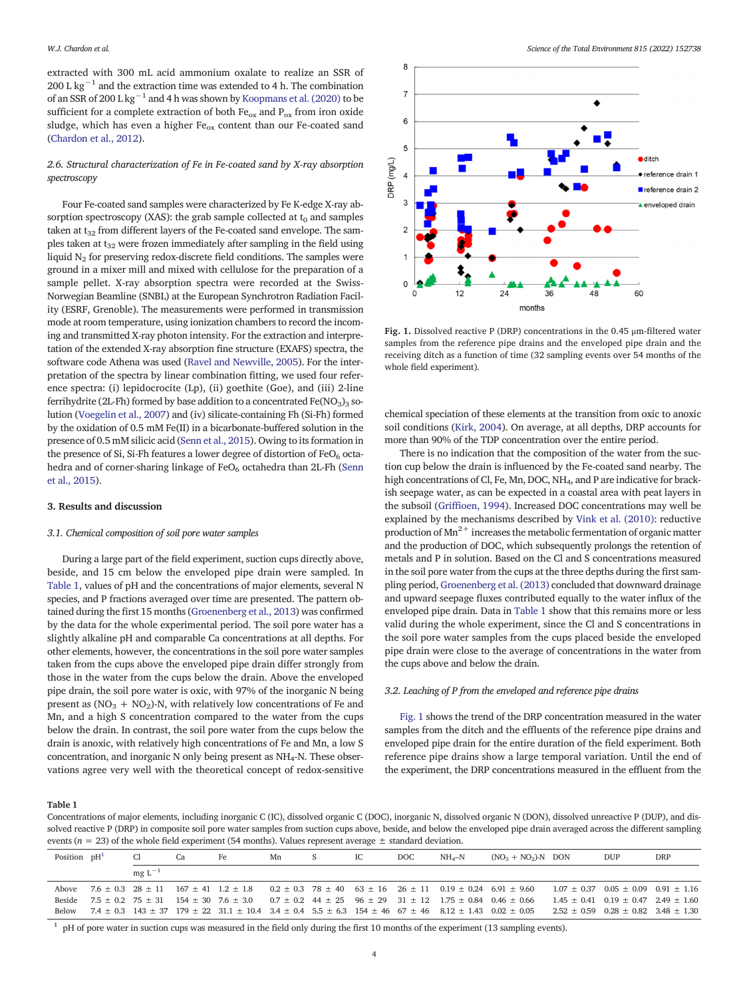<span id="page-3-0"></span>extracted with 300 mL acid ammonium oxalate to realize an SSR of 200 L kg<sup>-1</sup> and the extraction time was extended to 4 h. The combination of an SSR of 200 L kg−<sup>1</sup> and 4 h was shown by [Koopmans et al. \(2020\)](#page-8-0) to be sufficient for a complete extraction of both  $Fe_{ox}$  and  $P_{ox}$  from iron oxide sludge, which has even a higher Fe<sub>ox</sub> content than our Fe-coated sand [\(Chardon et al., 2012](#page-8-0)).

# 2.6. Structural characterization of Fe in Fe-coated sand by X-ray absorption spectroscopy

Four Fe-coated sand samples were characterized by Fe K-edge X-ray absorption spectroscopy (XAS): the grab sample collected at  $t_0$  and samples taken at  $t_{32}$  from different layers of the Fe-coated sand envelope. The samples taken at  $t_{32}$  were frozen immediately after sampling in the field using liquid  $N<sub>2</sub>$  for preserving redox-discrete field conditions. The samples were ground in a mixer mill and mixed with cellulose for the preparation of a sample pellet. X-ray absorption spectra were recorded at the Swiss-Norwegian Beamline (SNBL) at the European Synchrotron Radiation Facility (ESRF, Grenoble). The measurements were performed in transmission mode at room temperature, using ionization chambers to record the incoming and transmitted X-ray photon intensity. For the extraction and interpretation of the extended X-ray absorption fine structure (EXAFS) spectra, the software code Athena was used [\(Ravel and Newville, 2005](#page-8-0)). For the interpretation of the spectra by linear combination fitting, we used four reference spectra: (i) lepidocrocite (Lp), (ii) goethite (Goe), and (iii) 2-line ferrihydrite (2L-Fh) formed by base addition to a concentrated  $Fe(NO<sub>3</sub>)<sub>3</sub>$  solution [\(Voegelin et al., 2007\)](#page-9-0) and (iv) silicate-containing Fh (Si-Fh) formed by the oxidation of 0.5 mM Fe(II) in a bicarbonate-buffered solution in the presence of 0.5 mM silicic acid ([Senn et al., 2015\)](#page-9-0). Owing to its formation in the presence of Si, Si-Fh features a lower degree of distortion of  $FeO<sub>6</sub>$  octa-hedra and of corner-sharing linkage of FeO<sub>6</sub> octahedra than 2L-Fh [\(Senn](#page-9-0) [et al., 2015\)](#page-9-0).

#### 3. Results and discussion

#### 3.1. Chemical composition of soil pore water samples

During a large part of the field experiment, suction cups directly above, beside, and 15 cm below the enveloped pipe drain were sampled. In Table 1, values of pH and the concentrations of major elements, several N species, and P fractions averaged over time are presented. The pattern obtained during the first 15 months [\(Groenenberg et al., 2013](#page-8-0)) was confirmed by the data for the whole experimental period. The soil pore water has a slightly alkaline pH and comparable Ca concentrations at all depths. For other elements, however, the concentrations in the soil pore water samples taken from the cups above the enveloped pipe drain differ strongly from those in the water from the cups below the drain. Above the enveloped pipe drain, the soil pore water is oxic, with 97% of the inorganic N being present as  $(NO<sub>3</sub> + NO<sub>2</sub>)$ -N, with relatively low concentrations of Fe and Mn, and a high S concentration compared to the water from the cups below the drain. In contrast, the soil pore water from the cups below the drain is anoxic, with relatively high concentrations of Fe and Mn, a low S concentration, and inorganic N only being present as  $NH_4$ -N. These observations agree very well with the theoretical concept of redox-sensitive



Fig. 1. Dissolved reactive P (DRP) concentrations in the 0.45 μm-filtered water samples from the reference pipe drains and the enveloped pipe drain and the receiving ditch as a function of time (32 sampling events over 54 months of the whole field experiment).

chemical speciation of these elements at the transition from oxic to anoxic soil conditions [\(Kirk, 2004](#page-8-0)). On average, at all depths, DRP accounts for more than 90% of the TDP concentration over the entire period.

There is no indication that the composition of the water from the suction cup below the drain is influenced by the Fe-coated sand nearby. The high concentrations of Cl, Fe, Mn, DOC, NH4, and P are indicative for brackish seepage water, as can be expected in a coastal area with peat layers in the subsoil (Griffi[oen, 1994\)](#page-8-0). Increased DOC concentrations may well be explained by the mechanisms described by [Vink et al. \(2010\)](#page-9-0): reductive production of  $Mn^{2+}$  increases the metabolic fermentation of organic matter and the production of DOC, which subsequently prolongs the retention of metals and P in solution. Based on the Cl and S concentrations measured in the soil pore water from the cups at the three depths during the first sampling period, [Groenenberg et al. \(2013\)](#page-8-0) concluded that downward drainage and upward seepage fluxes contributed equally to the water influx of the enveloped pipe drain. Data in Table 1 show that this remains more or less valid during the whole experiment, since the Cl and S concentrations in the soil pore water samples from the cups placed beside the enveloped pipe drain were close to the average of concentrations in the water from the cups above and below the drain.

# 3.2. Leaching of P from the enveloped and reference pipe drains

Fig. 1 shows the trend of the DRP concentration measured in the water samples from the ditch and the effluents of the reference pipe drains and enveloped pipe drain for the entire duration of the field experiment. Both reference pipe drains show a large temporal variation. Until the end of the experiment, the DRP concentrations measured in the effluent from the

# Table 1

Concentrations of major elements, including inorganic C (IC), dissolved organic C (DOC), inorganic N, dissolved organic N (DON), dissolved unreactive P (DUP), and dissolved reactive P (DRP) in composite soil pore water samples from suction cups above, beside, and below the enveloped pipe drain averaged across the different sampling events ( $n = 23$ ) of the whole field experiment (54 months). Values represent average  $\pm$  standard deviation.

|        | Position $pH1$ |            | Cа | Fe.                                                                                                                                          | Mn | IC. | DOC. | $NH_A-N$ | $(NO3 + NO2)$ -N DON                                                                                                                   | <b>DUP</b>                                      | <b>DRP</b> |
|--------|----------------|------------|----|----------------------------------------------------------------------------------------------------------------------------------------------|----|-----|------|----------|----------------------------------------------------------------------------------------------------------------------------------------|-------------------------------------------------|------------|
|        |                | $mgL^{-1}$ |    |                                                                                                                                              |    |     |      |          |                                                                                                                                        |                                                 |            |
| Above  |                |            |    |                                                                                                                                              |    |     |      |          | $7.6 \pm 0.3$ 28 $\pm$ 11 167 $\pm$ 41 1.2 $\pm$ 1.8 0.2 $\pm$ 0.3 78 $\pm$ 40 63 $\pm$ 16 26 $\pm$ 11 0.19 $\pm$ 0.24 6.91 $\pm$ 9.60 | $1.07 + 0.37$ $0.05 + 0.09$ $0.91 + 1.16$       |            |
| Beside |                |            |    | $7.5 \pm 0.2$ $75 \pm 31$ $154 \pm 30$ $7.6 \pm 3.0$ $0.7 \pm 0.2$ $44 \pm 25$ $96 \pm 29$ $31 \pm 12$ $1.75 \pm 0.84$ $0.46 \pm 0.66$       |    |     |      |          |                                                                                                                                        | $1.45 \pm 0.41$ $0.19 \pm 0.47$ $2.49 \pm 1.60$ |            |
| Below  |                |            |    | $7.4 \pm 0.3$ 143 $\pm$ 37 179 $\pm$ 22 31.1 $\pm$ 10.4 3.4 $\pm$ 0.4 5.5 $\pm$ 6.3 154 $\pm$ 46 67 $\pm$ 46 8.12 $\pm$ 1.43 0.02 $\pm$ 0.05 |    |     |      |          |                                                                                                                                        | $2.52 \pm 0.59$ $0.28 \pm 0.82$ $3.48 \pm 1.30$ |            |
|        |                |            |    |                                                                                                                                              |    |     |      |          |                                                                                                                                        |                                                 |            |

 $1$  pH of pore water in suction cups was measured in the field only during the first 10 months of the experiment (13 sampling events).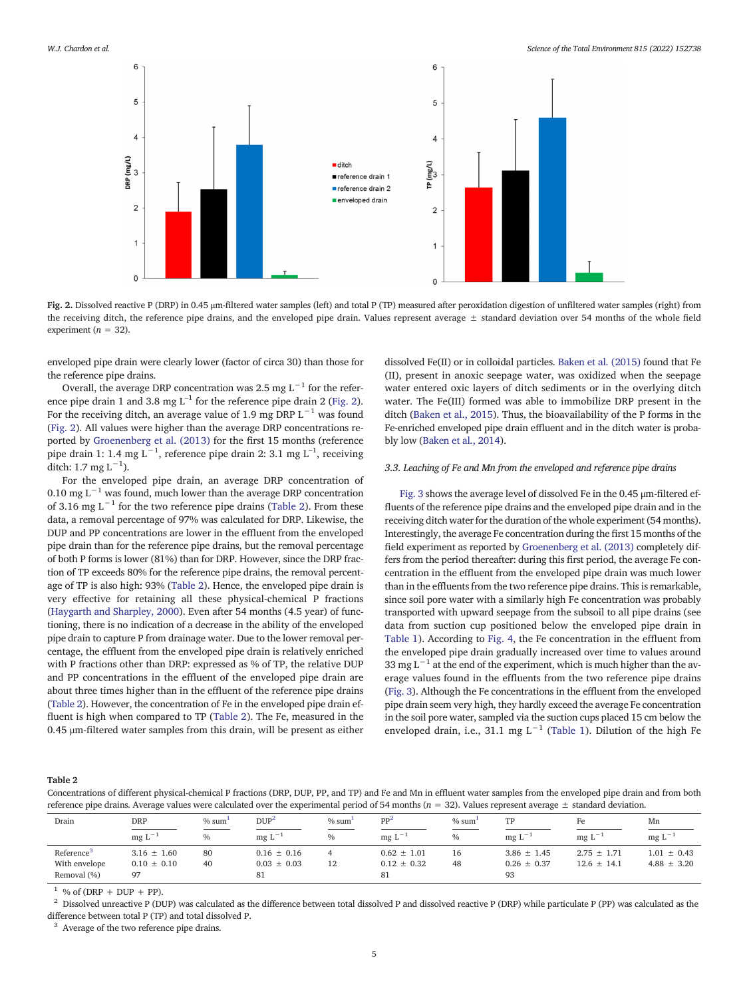<span id="page-4-0"></span>

Fig. 2. Dissolved reactive P (DRP) in 0.45 μm-filtered water samples (left) and total P (TP) measured after peroxidation digestion of unfiltered water samples (right) from the receiving ditch, the reference pipe drains, and the enveloped pipe drain. Values represent average  $\pm$  standard deviation over 54 months of the whole field experiment ( $n = 32$ ).

enveloped pipe drain were clearly lower (factor of circa 30) than those for the reference pipe drains.

Overall, the average DRP concentration was 2.5 mg L<sup>-1</sup> for the reference pipe drain 1 and 3.8 mg  $L^{-1}$  for the reference pipe drain 2 (Fig. 2). For the receiving ditch, an average value of 1.9 mg DRP  $L^{-1}$  was found (Fig. 2). All values were higher than the average DRP concentrations reported by [Groenenberg et al. \(2013\)](#page-8-0) for the first 15 months (reference pipe drain 1: 1.4 mg L<sup>-1</sup>, reference pipe drain 2: 3.1 mg L<sup>-1</sup>, receiving ditch: 1.7 mg  $L^{-1}$ ).

For the enveloped pipe drain, an average DRP concentration of 0.10 mg L<sup> $-1$ </sup> was found, much lower than the average DRP concentration of 3.16 mg L<sup> $-1$ </sup> for the two reference pipe drains (Table 2). From these data, a removal percentage of 97% was calculated for DRP. Likewise, the DUP and PP concentrations are lower in the effluent from the enveloped pipe drain than for the reference pipe drains, but the removal percentage of both P forms is lower (81%) than for DRP. However, since the DRP fraction of TP exceeds 80% for the reference pipe drains, the removal percentage of TP is also high: 93% (Table 2). Hence, the enveloped pipe drain is very effective for retaining all these physical-chemical P fractions ([Haygarth and Sharpley, 2000](#page-8-0)). Even after 54 months (4.5 year) of functioning, there is no indication of a decrease in the ability of the enveloped pipe drain to capture P from drainage water. Due to the lower removal percentage, the effluent from the enveloped pipe drain is relatively enriched with P fractions other than DRP: expressed as % of TP, the relative DUP and PP concentrations in the effluent of the enveloped pipe drain are about three times higher than in the effluent of the reference pipe drains (Table 2). However, the concentration of Fe in the enveloped pipe drain effluent is high when compared to TP (Table 2). The Fe, measured in the 0.45 μm-filtered water samples from this drain, will be present as either dissolved Fe(II) or in colloidal particles. [Baken et al. \(2015\)](#page-8-0) found that Fe (II), present in anoxic seepage water, was oxidized when the seepage water entered oxic layers of ditch sediments or in the overlying ditch water. The Fe(III) formed was able to immobilize DRP present in the ditch [\(Baken et al., 2015](#page-8-0)). Thus, the bioavailability of the P forms in the Fe-enriched enveloped pipe drain effluent and in the ditch water is probably low [\(Baken et al., 2014\)](#page-8-0).

### 3.3. Leaching of Fe and Mn from the enveloped and reference pipe drains

[Fig. 3](#page-5-0) shows the average level of dissolved Fe in the 0.45 μm-filtered effluents of the reference pipe drains and the enveloped pipe drain and in the receiving ditch water for the duration of the whole experiment (54 months). Interestingly, the average Fe concentration during the first 15 months of the field experiment as reported by [Groenenberg et al. \(2013\)](#page-8-0) completely differs from the period thereafter: during this first period, the average Fe concentration in the effluent from the enveloped pipe drain was much lower than in the effluents from the two reference pipe drains. This is remarkable, since soil pore water with a similarly high Fe concentration was probably transported with upward seepage from the subsoil to all pipe drains (see data from suction cup positioned below the enveloped pipe drain in [Table 1\)](#page-3-0). According to [Fig. 4](#page-5-0), the Fe concentration in the effluent from the enveloped pipe drain gradually increased over time to values around 33 mg L<sup> $-1$ </sup> at the end of the experiment, which is much higher than the average values found in the effluents from the two reference pipe drains [\(Fig. 3\)](#page-5-0). Although the Fe concentrations in the effluent from the enveloped pipe drain seem very high, they hardly exceed the average Fe concentration in the soil pore water, sampled via the suction cups placed 15 cm below the enveloped drain, i.e., 31.1 mg L<sup>-1</sup> [\(Table 1\)](#page-3-0). Dilution of the high Fe

Table 2

Concentrations of different physical-chemical P fractions (DRP, DUP, PP, and TP) and Fe and Mn in effluent water samples from the enveloped pipe drain and from both reference pipe drains. Average values were calculated over the experimental period of 54 months ( $n = 32$ ). Values represent average  $\pm$  standard deviation.

| Drain                  | DRP             | % sum | $DUP^2$         | % sum' | PP <sup>2</sup> | % sum         | TP              | Fe              | Mn              |
|------------------------|-----------------|-------|-----------------|--------|-----------------|---------------|-----------------|-----------------|-----------------|
|                        | $mg L^{-1}$     | $\%$  | $mg L^{-1}$     | $\%$   | $mg L^{-1}$     | $\frac{0}{0}$ | $mg L^-$        | $mg L^{-1}$     | $mg L^{-1}$     |
| Reference <sup>3</sup> | $3.16 \pm 1.60$ | 80    | $0.16 \pm 0.16$ |        | $0.62 \pm 1.01$ | 16            | $3.86 \pm 1.45$ | $2.75 \pm 1.71$ | $1.01 \pm 0.43$ |
| With envelope          | $0.10 \pm 0.10$ | 40    | $0.03 \pm 0.03$ | 12     | $0.12 \pm 0.32$ | 48            | $0.26 \pm 0.37$ | $12.6 \pm 14.1$ | $4.88 \pm 3.20$ |
| Removal (%)            | 97              |       | 81              |        | 81              |               | 93              |                 |                 |

 $1$  % of (DRP + DUP + PP).

<sup>2</sup> Dissolved unreactive P (DUP) was calculated as the difference between total dissolved P and dissolved reactive P (DRP) while particulate P (PP) was calculated as the difference between total P (TP) and total dissolved P.

<sup>3</sup> Average of the two reference pipe drains.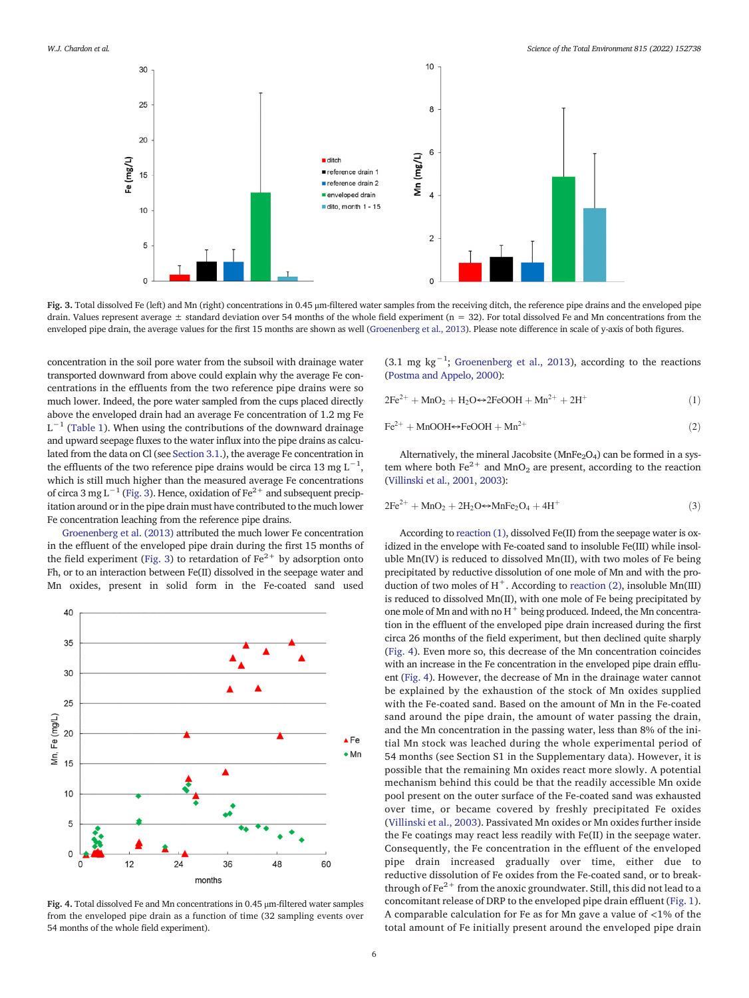<span id="page-5-0"></span>

Fig. 3. Total dissolved Fe (left) and Mn (right) concentrations in 0.45 μm-filtered water samples from the receiving ditch, the reference pipe drains and the enveloped pipe drain. Values represent average  $\pm$  standard deviation over 54 months of the whole field experiment (n = 32). For total dissolved Fe and Mn concentrations from the enveloped pipe drain, the average values for the first 15 months are shown as well [\(Groenenberg et al., 2013](#page-8-0)). Please note difference in scale of y-axis of both figures.

concentration in the soil pore water from the subsoil with drainage water transported downward from above could explain why the average Fe concentrations in the effluents from the two reference pipe drains were so much lower. Indeed, the pore water sampled from the cups placed directly above the enveloped drain had an average Fe concentration of 1.2 mg Fe  $L^{-1}$  [\(Table 1\)](#page-3-0). When using the contributions of the downward drainage and upward seepage fluxes to the water influx into the pipe drains as calculated from the data on Cl (see [Section 3.1.](#page-3-0)), the average Fe concentration in the effluents of the two reference pipe drains would be circa 13 mg  $L^{-1}$ , which is still much higher than the measured average Fe concentrations of circa 3 mg L<sup>-1</sup> (Fig. 3). Hence, oxidation of Fe<sup>2+</sup> and subsequent precipitation around or in the pipe drain must have contributed to the much lower Fe concentration leaching from the reference pipe drains.

[Groenenberg et al. \(2013\)](#page-8-0) attributed the much lower Fe concentration in the effluent of the enveloped pipe drain during the first 15 months of the field experiment (Fig. 3) to retardation of  $Fe<sup>2+</sup>$  by adsorption onto Fh, or to an interaction between Fe(II) dissolved in the seepage water and Mn oxides, present in solid form in the Fe-coated sand used



Fig. 4. Total dissolved Fe and Mn concentrations in 0.45 μm-filtered water samples from the enveloped pipe drain as a function of time (32 sampling events over 54 months of the whole field experiment).

(3.1 mg kg−<sup>1</sup> ; [Groenenberg et al., 2013\)](#page-8-0), according to the reactions [\(Postma and Appelo, 2000](#page-8-0)):

$$
2Fe^{2+} + MnO2 + H2O \Leftrightarrow 2FeOOH + Mn2+ + 2H+
$$
 (1)

$$
\text{Fe}^{2+} + \text{MnOOH} \Leftrightarrow \text{FeOOH} + \text{Mn}^{2+} \tag{2}
$$

Alternatively, the mineral Jacobsite ( $MnFe<sub>2</sub>O<sub>4</sub>$ ) can be formed in a system where both  $Fe^{2+}$  and MnO<sub>2</sub> are present, according to the reaction [\(Villinski et al., 2001, 2003](#page-9-0)):

$$
2Fe^{2+} + MnO2 + 2H2O \Leftrightarrow MnFe2O4 + 4H+
$$
 (3)

According to reaction (1), dissolved Fe(II) from the seepage water is oxidized in the envelope with Fe-coated sand to insoluble Fe(III) while insoluble Mn(IV) is reduced to dissolved Mn(II), with two moles of Fe being precipitated by reductive dissolution of one mole of Mn and with the production of two moles of  $H^+$ . According to reaction (2), insoluble Mn(III) is reduced to dissolved Mn(II), with one mole of Fe being precipitated by one mole of Mn and with no  $H^+$  being produced. Indeed, the Mn concentration in the effluent of the enveloped pipe drain increased during the first circa 26 months of the field experiment, but then declined quite sharply (Fig. 4). Even more so, this decrease of the Mn concentration coincides with an increase in the Fe concentration in the enveloped pipe drain effluent (Fig. 4). However, the decrease of Mn in the drainage water cannot be explained by the exhaustion of the stock of Mn oxides supplied with the Fe-coated sand. Based on the amount of Mn in the Fe-coated sand around the pipe drain, the amount of water passing the drain, and the Mn concentration in the passing water, less than 8% of the initial Mn stock was leached during the whole experimental period of 54 months (see Section S1 in the Supplementary data). However, it is possible that the remaining Mn oxides react more slowly. A potential mechanism behind this could be that the readily accessible Mn oxide pool present on the outer surface of the Fe-coated sand was exhausted over time, or became covered by freshly precipitated Fe oxides [\(Villinski et al., 2003\)](#page-9-0). Passivated Mn oxides or Mn oxides further inside the Fe coatings may react less readily with Fe(II) in the seepage water. Consequently, the Fe concentration in the effluent of the enveloped pipe drain increased gradually over time, either due to reductive dissolution of Fe oxides from the Fe-coated sand, or to breakthrough of  $Fe<sup>2+</sup>$  from the anoxic groundwater. Still, this did not lead to a concomitant release of DRP to the enveloped pipe drain effluent [\(Fig. 1](#page-3-0)). A comparable calculation for Fe as for Mn gave a value of <1% of the total amount of Fe initially present around the enveloped pipe drain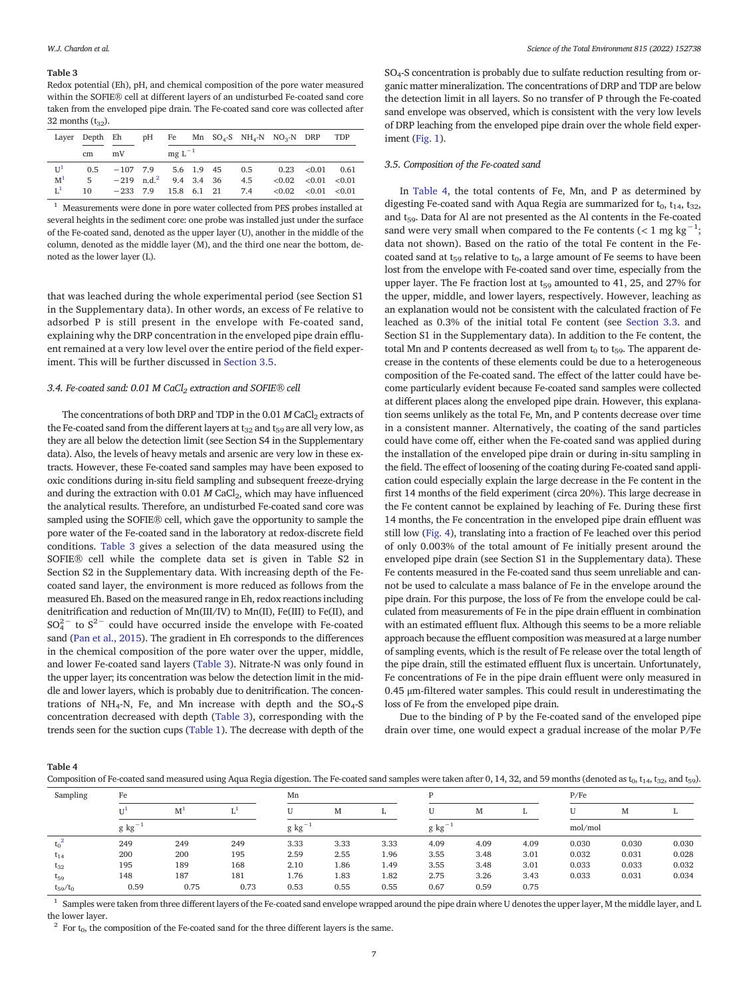#### <span id="page-6-0"></span>Table 3

Redox potential (Eh), pH, and chemical composition of the pore water measured within the SOFIE® cell at different layers of an undisturbed Fe-coated sand core taken from the enveloped pipe drain. The Fe-coated sand core was collected after 32 months  $(t_{32})$ .

| Laver          | Depth Eh |                                     | pH |             |            |                 | Fe Mn $SO_4$ -S NH <sub>4</sub> -N NO <sub>3</sub> -N DRP |  |                            | TDP  |
|----------------|----------|-------------------------------------|----|-------------|------------|-----------------|-----------------------------------------------------------|--|----------------------------|------|
|                | mV<br>cm |                                     |    | $mg L^{-1}$ |            |                 |                                                           |  |                            |      |
| $U^1$          | 0.5      | $-107$ 7.9                          |    |             | 5.6 1.9 45 |                 | $0.5^{\circ}$                                             |  | $0.23 \quad < 0.01$        | 0.61 |
| M <sup>1</sup> | 5.       | $-219$ n.d. <sup>2</sup> 9.4 3.4 36 |    |             |            |                 | 4.5                                                       |  | $< 0.02$ $< 0.01$ $< 0.01$ |      |
| L <sup>1</sup> | 10       | $-233$ 7.9                          |    |             |            | 15.8 6.1 21 7.4 |                                                           |  | $< 0.02$ $< 0.01$ $< 0.01$ |      |

<sup>1</sup> Measurements were done in pore water collected from PES probes installed at several heights in the sediment core: one probe was installed just under the surface of the Fe-coated sand, denoted as the upper layer (U), another in the middle of the column, denoted as the middle layer (M), and the third one near the bottom, denoted as the lower layer (L).

that was leached during the whole experimental period (see Section S1 in the Supplementary data). In other words, an excess of Fe relative to adsorbed P is still present in the envelope with Fe-coated sand, explaining why the DRP concentration in the enveloped pipe drain effluent remained at a very low level over the entire period of the field experiment. This will be further discussed in Section 3.5.

# 3.4. Fe-coated sand: 0.01 M CaCl<sub>2</sub> extraction and SOFIE® cell

The concentrations of both DRP and TDP in the  $0.01$  M CaCl<sub>2</sub> extracts of the Fe-coated sand from the different layers at  $t_{32}$  and  $t_{59}$  are all very low, as they are all below the detection limit (see Section S4 in the Supplementary data). Also, the levels of heavy metals and arsenic are very low in these extracts. However, these Fe-coated sand samples may have been exposed to oxic conditions during in-situ field sampling and subsequent freeze-drying and during the extraction with 0.01  $M$  CaCl<sub>2</sub>, which may have influenced the analytical results. Therefore, an undisturbed Fe-coated sand core was sampled using the SOFIE® cell, which gave the opportunity to sample the pore water of the Fe-coated sand in the laboratory at redox-discrete field conditions. Table 3 gives a selection of the data measured using the SOFIE® cell while the complete data set is given in Table S2 in Section S2 in the Supplementary data. With increasing depth of the Fecoated sand layer, the environment is more reduced as follows from the measured Eh. Based on the measured range in Eh, redox reactions including denitrification and reduction of Mn(III/IV) to Mn(II), Fe(III) to Fe(II), and  $SO_4^{2-}$  to  $S^{2-}$  could have occurred inside the envelope with Fe-coated sand ([Pan et al., 2015\)](#page-8-0). The gradient in Eh corresponds to the differences in the chemical composition of the pore water over the upper, middle, and lower Fe-coated sand layers (Table 3). Nitrate-N was only found in the upper layer; its concentration was below the detection limit in the middle and lower layers, which is probably due to denitrification. The concentrations of NH<sub>4</sub>-N, Fe, and Mn increase with depth and the  $SO<sub>4</sub>-S$ concentration decreased with depth (Table 3), corresponding with the trends seen for the suction cups [\(Table 1\)](#page-3-0). The decrease with depth of the SO4-S concentration is probably due to sulfate reduction resulting from organic matter mineralization. The concentrations of DRP and TDP are below the detection limit in all layers. So no transfer of P through the Fe-coated sand envelope was observed, which is consistent with the very low levels of DRP leaching from the enveloped pipe drain over the whole field experiment ([Fig. 1\)](#page-3-0).

### 3.5. Composition of the Fe-coated sand

In Table 4, the total contents of Fe, Mn, and P as determined by digesting Fe-coated sand with Aqua Regia are summarized for  $t_0$ ,  $t_{14}$ ,  $t_{32}$ , and  $t_{59}$ . Data for Al are not presented as the Al contents in the Fe-coated sand were very small when compared to the Fe contents (< 1 mg kg<sup>-1</sup>; data not shown). Based on the ratio of the total Fe content in the Fecoated sand at  $t_{59}$  relative to  $t_0$ , a large amount of Fe seems to have been lost from the envelope with Fe-coated sand over time, especially from the upper layer. The Fe fraction lost at  $t_{59}$  amounted to 41, 25, and 27% for the upper, middle, and lower layers, respectively. However, leaching as an explanation would not be consistent with the calculated fraction of Fe leached as 0.3% of the initial total Fe content (see [Section 3.3.](#page-4-0) and Section S1 in the Supplementary data). In addition to the Fe content, the total Mn and P contents decreased as well from  $t_0$  to  $t_{59}$ . The apparent decrease in the contents of these elements could be due to a heterogeneous composition of the Fe-coated sand. The effect of the latter could have become particularly evident because Fe-coated sand samples were collected at different places along the enveloped pipe drain. However, this explanation seems unlikely as the total Fe, Mn, and P contents decrease over time in a consistent manner. Alternatively, the coating of the sand particles could have come off, either when the Fe-coated sand was applied during the installation of the enveloped pipe drain or during in-situ sampling in the field. The effect of loosening of the coating during Fe-coated sand application could especially explain the large decrease in the Fe content in the first 14 months of the field experiment (circa 20%). This large decrease in the Fe content cannot be explained by leaching of Fe. During these first 14 months, the Fe concentration in the enveloped pipe drain effluent was still low ([Fig. 4](#page-5-0)), translating into a fraction of Fe leached over this period of only 0.003% of the total amount of Fe initially present around the enveloped pipe drain (see Section S1 in the Supplementary data). These Fe contents measured in the Fe-coated sand thus seem unreliable and cannot be used to calculate a mass balance of Fe in the envelope around the pipe drain. For this purpose, the loss of Fe from the envelope could be calculated from measurements of Fe in the pipe drain effluent in combination with an estimated effluent flux. Although this seems to be a more reliable approach because the effluent composition was measured at a large number of sampling events, which is the result of Fe release over the total length of the pipe drain, still the estimated effluent flux is uncertain. Unfortunately, Fe concentrations of Fe in the pipe drain effluent were only measured in 0.45 μm-filtered water samples. This could result in underestimating the loss of Fe from the enveloped pipe drain.

Due to the binding of P by the Fe-coated sand of the enveloped pipe drain over time, one would expect a gradual increase of the molar P/Fe

Table 4

Composition of Fe-coated sand measured using Aqua Regia digestion. The Fe-coated sand samples were taken after 0, 14, 32, and 59 months (denoted as t<sub>0</sub>, t<sub>14</sub>, t<sub>32</sub>, and t<sub>59</sub>).

| Sampling                               | Fe          |                |      | Mn          |      |      |              |      |      | P/Fe    |       |       |
|----------------------------------------|-------------|----------------|------|-------------|------|------|--------------|------|------|---------|-------|-------|
|                                        | $U^1$       | M <sup>1</sup> |      |             | M    |      |              | M    |      | U       | M     |       |
|                                        | $g kg^{-1}$ |                |      | $g kg^{-1}$ |      |      | $g\ kg^{-1}$ |      |      | mol/mol |       |       |
| $t_0$ <sup><math>\epsilon</math></sup> | 249         | 249            | 249  | 3.33        | 3.33 | 3.33 | 4.09         | 4.09 | 4.09 | 0.030   | 0.030 | 0.030 |
| $t_{14}$                               | 200         | 200            | 195  | 2.59        | 2.55 | 1.96 | 3.55         | 3.48 | 3.01 | 0.032   | 0.031 | 0.028 |
| $t_{32}$                               | 195         | 189            | 168  | 2.10        | 1.86 | 1.49 | 3.55         | 3.48 | 3.01 | 0.033   | 0.033 | 0.032 |
| $t_{59}$                               | 148         | 187            | 181  | 1.76        | 1.83 | 1.82 | 2.75         | 3.26 | 3.43 | 0.033   | 0.031 | 0.034 |
| $t_{59}/t_0$                           | 0.59        | 0.75           | 0.73 | 0.53        | 0.55 | 0.55 | 0.67         | 0.59 | 0.75 |         |       |       |

<sup>1</sup> Samples were taken from three different layers of the Fe-coated sand envelope wrapped around the pipe drain where U denotes the upper layer, M the middle layer, and L the lower layer.

 $2$  For  $t_0$ , the composition of the Fe-coated sand for the three different layers is the same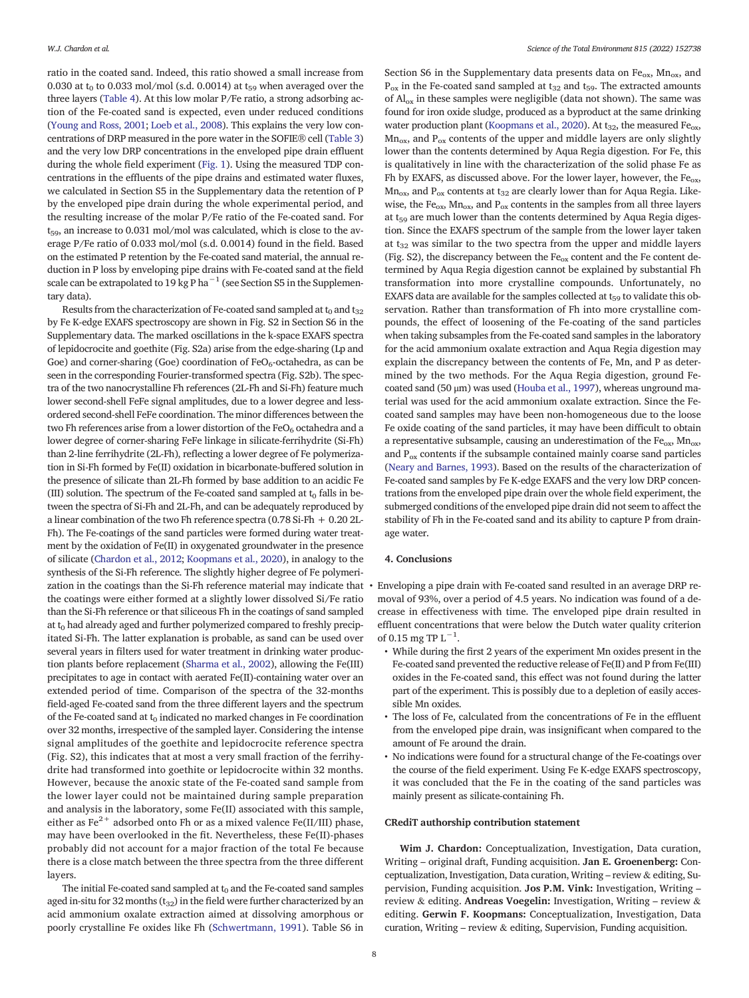ratio in the coated sand. Indeed, this ratio showed a small increase from 0.030 at  $t_0$  to 0.033 mol/mol (s.d. 0.0014) at  $t_{59}$  when averaged over the three layers [\(Table 4\)](#page-6-0). At this low molar P/Fe ratio, a strong adsorbing action of the Fe-coated sand is expected, even under reduced conditions [\(Young and Ross, 2001](#page-9-0); [Loeb et al., 2008\)](#page-8-0). This explains the very low concentrations of DRP measured in the pore water in the SOFIE® cell [\(Table 3](#page-6-0)) and the very low DRP concentrations in the enveloped pipe drain effluent during the whole field experiment ([Fig. 1\)](#page-3-0). Using the measured TDP concentrations in the effluents of the pipe drains and estimated water fluxes, we calculated in Section S5 in the Supplementary data the retention of P by the enveloped pipe drain during the whole experimental period, and the resulting increase of the molar P/Fe ratio of the Fe-coated sand. For  $t_{59}$ , an increase to 0.031 mol/mol was calculated, which is close to the average P/Fe ratio of 0.033 mol/mol (s.d. 0.0014) found in the field. Based on the estimated P retention by the Fe-coated sand material, the annual reduction in P loss by enveloping pipe drains with Fe-coated sand at the field scale can be extrapolated to 19 kg P ha<sup> $-1$ </sup> (see Section S5 in the Supplementary data).

Results from the characterization of Fe-coated sand sampled at  $t_0$  and  $t_{32}$ by Fe K-edge EXAFS spectroscopy are shown in Fig. S2 in Section S6 in the Supplementary data. The marked oscillations in the k-space EXAFS spectra of lepidocrocite and goethite (Fig. S2a) arise from the edge-sharing (Lp and Goe) and corner-sharing (Goe) coordination of  $FeO<sub>6</sub>$ -octahedra, as can be seen in the corresponding Fourier-transformed spectra (Fig. S2b). The spectra of the two nanocrystalline Fh references (2L-Fh and Si-Fh) feature much lower second-shell FeFe signal amplitudes, due to a lower degree and lessordered second-shell FeFe coordination. The minor differences between the two Fh references arise from a lower distortion of the  $FeO<sub>6</sub>$  octahedra and a lower degree of corner-sharing FeFe linkage in silicate-ferrihydrite (Si-Fh) than 2-line ferrihydrite (2L-Fh), reflecting a lower degree of Fe polymerization in Si-Fh formed by Fe(II) oxidation in bicarbonate-buffered solution in the presence of silicate than 2L-Fh formed by base addition to an acidic Fe (III) solution. The spectrum of the Fe-coated sand sampled at  $t_0$  falls in between the spectra of Si-Fh and 2L-Fh, and can be adequately reproduced by a linear combination of the two Fh reference spectra (0.78 Si-Fh + 0.20 2L-Fh). The Fe-coatings of the sand particles were formed during water treatment by the oxidation of Fe(II) in oxygenated groundwater in the presence of silicate [\(Chardon et al., 2012;](#page-8-0) [Koopmans et al., 2020\)](#page-8-0), in analogy to the synthesis of the Si-Fh reference. The slightly higher degree of Fe polymerization in the coatings than the Si-Fh reference material may indicate that the coatings were either formed at a slightly lower dissolved Si/Fe ratio than the Si-Fh reference or that siliceous Fh in the coatings of sand sampled at  $t_0$  had already aged and further polymerized compared to freshly precipitated Si-Fh. The latter explanation is probable, as sand can be used over several years in filters used for water treatment in drinking water production plants before replacement ([Sharma et al., 2002](#page-9-0)), allowing the Fe(III) precipitates to age in contact with aerated Fe(II)-containing water over an extended period of time. Comparison of the spectra of the 32-months field-aged Fe-coated sand from the three different layers and the spectrum of the Fe-coated sand at  $t_0$  indicated no marked changes in Fe coordination over 32 months, irrespective of the sampled layer. Considering the intense signal amplitudes of the goethite and lepidocrocite reference spectra (Fig. S2), this indicates that at most a very small fraction of the ferrihydrite had transformed into goethite or lepidocrocite within 32 months. However, because the anoxic state of the Fe-coated sand sample from the lower layer could not be maintained during sample preparation and analysis in the laboratory, some Fe(II) associated with this sample, either as  $Fe^{2+}$  adsorbed onto Fh or as a mixed valence Fe(II/III) phase, may have been overlooked in the fit. Nevertheless, these Fe(II)-phases probably did not account for a major fraction of the total Fe because there is a close match between the three spectra from the three different layers.

The initial Fe-coated sand sampled at  $t_0$  and the Fe-coated sand samples aged in-situ for 32 months  $(t_{32})$  in the field were further characterized by an acid ammonium oxalate extraction aimed at dissolving amorphous or poorly crystalline Fe oxides like Fh [\(Schwertmann, 1991\)](#page-9-0). Table S6 in

Section S6 in the Supplementary data presents data on  $Fe<sub>ox</sub>$ , Mn<sub>ox</sub>, and  $P_{ox}$  in the Fe-coated sand sampled at  $t_{32}$  and  $t_{59}$ . The extracted amounts of  $\text{Al}_{\text{ox}}$  in these samples were negligible (data not shown). The same was found for iron oxide sludge, produced as a byproduct at the same drinking water production plant ([Koopmans et al., 2020](#page-8-0)). At  $t_{32}$ , the measured Fe<sub>ox</sub>,  $Mn_{ox}$ , and  $P_{ox}$  contents of the upper and middle layers are only slightly lower than the contents determined by Aqua Regia digestion. For Fe, this is qualitatively in line with the characterization of the solid phase Fe as Fh by EXAFS, as discussed above. For the lower layer, however, the Fe<sub>ox</sub>,  $Mn_{ox}$ , and P<sub>ox</sub> contents at t<sub>32</sub> are clearly lower than for Aqua Regia. Likewise, the Fe<sub>ox</sub>, Mn<sub>ox</sub>, and P<sub>ox</sub> contents in the samples from all three layers at  $t_{59}$  are much lower than the contents determined by Aqua Regia digestion. Since the EXAFS spectrum of the sample from the lower layer taken at  $t_{32}$  was similar to the two spectra from the upper and middle layers (Fig. S2), the discrepancy between the  $Fe<sub>ox</sub>$  content and the Fe content determined by Aqua Regia digestion cannot be explained by substantial Fh transformation into more crystalline compounds. Unfortunately, no EXAFS data are available for the samples collected at  $t_{59}$  to validate this observation. Rather than transformation of Fh into more crystalline compounds, the effect of loosening of the Fe-coating of the sand particles when taking subsamples from the Fe-coated sand samples in the laboratory for the acid ammonium oxalate extraction and Aqua Regia digestion may explain the discrepancy between the contents of Fe, Mn, and P as determined by the two methods. For the Aqua Regia digestion, ground Fecoated sand (50 μm) was used [\(Houba et al., 1997](#page-8-0)), whereas unground material was used for the acid ammonium oxalate extraction. Since the Fecoated sand samples may have been non-homogeneous due to the loose Fe oxide coating of the sand particles, it may have been difficult to obtain a representative subsample, causing an underestimation of the  $Fe<sub>ox</sub>$ ,  $Mn<sub>ox</sub>$ , and  $P_{ox}$  contents if the subsample contained mainly coarse sand particles [\(Neary and Barnes, 1993](#page-8-0)). Based on the results of the characterization of Fe-coated sand samples by Fe K-edge EXAFS and the very low DRP concentrations from the enveloped pipe drain over the whole field experiment, the submerged conditions of the enveloped pipe drain did not seem to affect the stability of Fh in the Fe-coated sand and its ability to capture P from drainage water.

# 4. Conclusions

• Enveloping a pipe drain with Fe-coated sand resulted in an average DRP removal of 93%, over a period of 4.5 years. No indication was found of a decrease in effectiveness with time. The enveloped pipe drain resulted in effluent concentrations that were below the Dutch water quality criterion of 0.15 mg TP  $L^{-1}$ .

- While during the first 2 years of the experiment Mn oxides present in the Fe-coated sand prevented the reductive release of Fe(II) and P from Fe(III) oxides in the Fe-coated sand, this effect was not found during the latter part of the experiment. This is possibly due to a depletion of easily accessible Mn oxides.
- The loss of Fe, calculated from the concentrations of Fe in the effluent from the enveloped pipe drain, was insignificant when compared to the amount of Fe around the drain.
- No indications were found for a structural change of the Fe-coatings over the course of the field experiment. Using Fe K-edge EXAFS spectroscopy, it was concluded that the Fe in the coating of the sand particles was mainly present as silicate-containing Fh.

# CRediT authorship contribution statement

Wim J. Chardon: Conceptualization, Investigation, Data curation, Writing – original draft, Funding acquisition. Jan E. Groenenberg: Conceptualization, Investigation, Data curation, Writing – review & editing, Supervision, Funding acquisition. Jos P.M. Vink: Investigation, Writing – review & editing. Andreas Voegelin: Investigation, Writing – review & editing. Gerwin F. Koopmans: Conceptualization, Investigation, Data curation, Writing – review & editing, Supervision, Funding acquisition.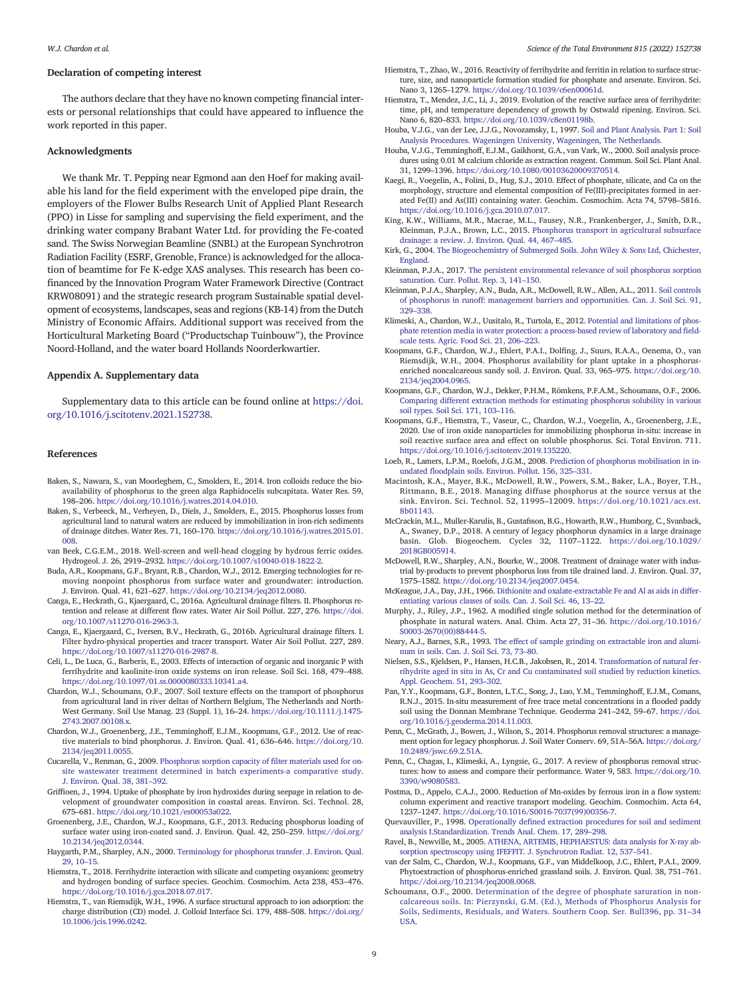# <span id="page-8-0"></span>Declaration of competing interest

The authors declare that they have no known competing financial interests or personal relationships that could have appeared to influence the work reported in this paper.

#### Acknowledgments

We thank Mr. T. Pepping near Egmond aan den Hoef for making available his land for the field experiment with the enveloped pipe drain, the employers of the Flower Bulbs Research Unit of Applied Plant Research (PPO) in Lisse for sampling and supervising the field experiment, and the drinking water company Brabant Water Ltd. for providing the Fe-coated sand. The Swiss Norwegian Beamline (SNBL) at the European Synchrotron Radiation Facility (ESRF, Grenoble, France) is acknowledged for the allocation of beamtime for Fe K-edge XAS analyses. This research has been cofinanced by the Innovation Program Water Framework Directive (Contract KRW08091) and the strategic research program Sustainable spatial development of ecosystems, landscapes, seas and regions (KB-14) from the Dutch Ministry of Economic Affairs. Additional support was received from the Horticultural Marketing Board ("Productschap Tuinbouw"), the Province Noord-Holland, and the water board Hollands Noorderkwartier.

# Appendix A. Supplementary data

Supplementary data to this article can be found online at [https://doi.](https://doi.org/10.1016/j.scitotenv.2021.152738) [org/10.1016/j.scitotenv.2021.152738](https://doi.org/10.1016/j.scitotenv.2021.152738).

#### References

- Baken, S., Nawara, S., van Moorleghem, C., Smolders, E., 2014. Iron colloids reduce the bioavailability of phosphorus to the green alga Raphidocelis subcapitata. Water Res. 59, 198–206. [https://doi.org/10.1016/j.watres.2014.04.010.](https://doi.org/10.1016/j.watres.2014.04.010)
- Baken, S., Verbeeck, M., Verheyen, D., Diels, J., Smolders, E., 2015. Phosphorus losses from agricultural land to natural waters are reduced by immobilization in iron-rich sediments of drainage ditches. Water Res. 71, 160–170. [https://doi.org/10.1016/j.watres.2015.01.](https://doi.org/10.1016/j.watres.2015.01.008) [008](https://doi.org/10.1016/j.watres.2015.01.008).
- van Beek, C.G.E.M., 2018. Well-screen and well-head clogging by hydrous ferric oxides. Hydrogeol. J. 26, 2919–2932. [https://doi.org/10.1007/s10040-018-1822-2.](https://doi.org/10.1007/s10040-018-1822-2)
- Buda, A.R., Koopmans, G.F., Bryant, R.B., Chardon, W.J., 2012. Emerging technologies for removing nonpoint phosphorus from surface water and groundwater: introduction. J. Environ. Qual. 41, 621–627. <https://doi.org/10.2134/jeq2012.0080>.
- Canga, E., Heckrath, G., Kjaergaard, C., 2016a. Agricultural drainage filters. II. Phosphorus retention and release at different flow rates. Water Air Soil Pollut. 227, 276. [https://doi.](https://doi.org/10.1007/s11270-016-2963-3) [org/10.1007/s11270-016-2963-3.](https://doi.org/10.1007/s11270-016-2963-3)
- Canga, E., Kjaergaard, C., Iversen, B.V., Heckrath, G., 2016b. Agricultural drainage filters. I. Filter hydro-physical properties and tracer transport. Water Air Soil Pollut. 227, 289. <https://doi.org/10.1007/s11270-016-2987-8>.
- Celi, L., De Luca, G., Barberis, E., 2003. Effects of interaction of organic and inorganic P with ferrihydrite and kaolinite-iron oxide systems on iron release. Soil Sci. 168, 479–488. [https://doi.org/10.1097/01.ss.0000080333.10341.a4.](https://doi.org/10.1097/01.ss.0000080333.10341.a4)
- Chardon, W.J., Schoumans, O.F., 2007. Soil texture effects on the transport of phosphorus from agricultural land in river deltas of Northern Belgium, The Netherlands and North-West Germany. Soil Use Manag. 23 (Suppl. 1), 16–24. [https://doi.org/10.1111/j.1475-](https://doi.org/10.1111/j.1475-2743.2007.00108.x) [2743.2007.00108.x.](https://doi.org/10.1111/j.1475-2743.2007.00108.x)
- Chardon, W.J., Groenenberg, J.E., Temminghoff, E.J.M., Koopmans, G.F., 2012. Use of reactive materials to bind phosphorus. J. Environ. Qual. 41, 636–646. [https://doi.org/10.](https://doi.org/10.2134/jeq2011.0055) [2134/jeq2011.0055](https://doi.org/10.2134/jeq2011.0055).
- Cucarella, V., Renman, G., 2009. [Phosphorus sorption capacity of](http://refhub.elsevier.com/S0048-9697(21)07817-7/rf202112300516061879) filter materials used for on[site wastewater treatment determined in batch experiments-a comparative study.](http://refhub.elsevier.com/S0048-9697(21)07817-7/rf202112300516061879) [J. Environ. Qual. 38, 381](http://refhub.elsevier.com/S0048-9697(21)07817-7/rf202112300516061879)–392.
- Griffioen, J., 1994. Uptake of phosphate by iron hydroxides during seepage in relation to development of groundwater composition in coastal areas. Environ. Sci. Technol. 28, 675–681. [https://doi.org/10.1021/es00053a022.](https://doi.org/10.1021/es00053a022)
- Groenenberg, J.E., Chardon, W.J., Koopmans, G.F., 2013. Reducing phosphorus loading of surface water using iron-coated sand. J. Environ. Qual. 42, 250–259. [https://doi.org/](https://doi.org/10.2134/jeq2012.0344) [10.2134/jeq2012.0344.](https://doi.org/10.2134/jeq2012.0344)
- Haygarth, P.M., Sharpley, A.N., 2000. [Terminology for phosphorus transfer. J. Environ. Qual.](http://refhub.elsevier.com/S0048-9697(21)07817-7/rf202112300516292113)  $29.10 - 15$
- Hiemstra, T., 2018. Ferrihydrite interaction with silicate and competing oxyanions: geometry and hydrogen bonding of surface species. Geochim. Cosmochim. Acta 238, 453–476. <https://doi.org/10.1016/j.gca.2018.07.017>.
- Hiemstra, T., van Riemsdijk, W.H., 1996. A surface structural approach to ion adsorption: the charge distribution (CD) model. J. Colloid Interface Sci. 179, 488–508. [https://doi.org/](https://doi.org/10.1006/jcis.1996.0242) [10.1006/jcis.1996.0242](https://doi.org/10.1006/jcis.1996.0242).
- Hiemstra, T., Zhao, W., 2016. Reactivity of ferrihydrite and ferritin in relation to surface structure, size, and nanoparticle formation studied for phosphate and arsenate. Environ. Sci. Nano 3, 1265–1279. [https://doi.org/10.1039/c6en00061d.](https://doi.org/10.1039/c6en00061d)
- Hiemstra, T., Mendez, J.C., Li, J., 2019. Evolution of the reactive surface area of ferrihydrite: time, pH, and temperature dependency of growth by Ostwald ripening. Environ. Sci. Nano 6, 820–833. [https://doi.org/10.1039/c8en01198b.](https://doi.org/10.1039/c8en01198b)
- Houba, V.J.G., van der Lee, J.J.G., Novozamsky, I., 1997. [Soil and Plant Analysis. Part 1: Soil](http://refhub.elsevier.com/S0048-9697(21)07817-7/rf202112300509083649) [Analysis Procedures. Wageningen University, Wageningen, The Netherlands.](http://refhub.elsevier.com/S0048-9697(21)07817-7/rf202112300509083649)
- Houba, V.J.G., Temminghoff, E.J.M., Gaikhorst, G.A., van Vark, W., 2000. Soil analysis procedures using 0.01 M calcium chloride as extraction reagent. Commun. Soil Sci. Plant Anal. 31, 1299–1396. <https://doi.org/10.1080/00103620009370514>.
- Kaegi, R., Voegelin, A., Folini, D., Hug, S.J., 2010. Effect of phosphate, silicate, and Ca on the morphology, structure and elemental composition of Fe(III)-precipitates formed in aerated Fe(II) and As(III) containing water. Geochim. Cosmochim. Acta 74, 5798–5816. [https://doi.org/10.1016/j.gca.2010.07.017.](https://doi.org/10.1016/j.gca.2010.07.017)
- King, K.W., Williams, M.R., Macrae, M.L., Fausey, N.R., Frankenberger, J., Smith, D.R., Kleinman, P.J.A., Brown, L.C., 2015. [Phosphorus transport in agricultural subsurface](http://refhub.elsevier.com/S0048-9697(21)07817-7/rf202112300517238762) [drainage: a review. J. Environ. Qual. 44, 467](http://refhub.elsevier.com/S0048-9697(21)07817-7/rf202112300517238762)–485.
- Kirk, G., 2004. [The Biogeochemistry of Submerged Soils. John Wiley](http://refhub.elsevier.com/S0048-9697(21)07817-7/rf202112300509206600) & Sons Ltd, Chichester, [England](http://refhub.elsevier.com/S0048-9697(21)07817-7/rf202112300509206600).
- Kleinman, P.J.A., 2017. [The persistent environmental relevance of soil phosphorus sorption](http://refhub.elsevier.com/S0048-9697(21)07817-7/rf202112300517294942) [saturation. Curr. Pollut. Rep. 3, 141](http://refhub.elsevier.com/S0048-9697(21)07817-7/rf202112300517294942)–150.
- Kleinman, P.J.A., Sharpley, A.N., Buda, A.R., McDowell, R.W., Allen, A.L., 2011. [Soil controls](http://refhub.elsevier.com/S0048-9697(21)07817-7/rf202112300509219094) [of phosphorus in runoff: management barriers and opportunities. Can. J. Soil Sci. 91,](http://refhub.elsevier.com/S0048-9697(21)07817-7/rf202112300509219094) [329](http://refhub.elsevier.com/S0048-9697(21)07817-7/rf202112300509219094)–338.
- Klimeski, A., Chardon, W.J., Uusitalo, R., Turtola, E., 2012. [Potential and limitations of phos](http://refhub.elsevier.com/S0048-9697(21)07817-7/rf202112300509268528)[phate retention media in water protection: a process-based review of laboratory and](http://refhub.elsevier.com/S0048-9697(21)07817-7/rf202112300509268528) field[scale tests. Agric. Food Sci. 21, 206](http://refhub.elsevier.com/S0048-9697(21)07817-7/rf202112300509268528)–223.
- Koopmans, G.F., Chardon, W.J., Ehlert, P.A.I., Dolfing, J., Suurs, R.A.A., Oenema, O., van Riemsdijk, W.H., 2004. Phosphorus availability for plant uptake in a phosphorusenriched noncalcareous sandy soil. J. Environ. Qual. 33, 965–975. [https://doi.org/10.](https://doi.org/10.2134/jeq2004.0965) [2134/jeq2004.0965.](https://doi.org/10.2134/jeq2004.0965)
- Koopmans, G.F., Chardon, W.J., Dekker, P.H.M., Römkens, P.F.A.M., Schoumans, O.F., 2006. [Comparing different extraction methods for estimating phosphorus solubility in various](http://refhub.elsevier.com/S0048-9697(21)07817-7/rf202112300517320607) [soil types. Soil Sci. 171, 103](http://refhub.elsevier.com/S0048-9697(21)07817-7/rf202112300517320607)–116.
- Koopmans, G.F., Hiemstra, T., Vaseur, C., Chardon, W.J., Voegelin, A., Groenenberg, J.E., 2020. Use of iron oxide nanoparticles for immobilizing phosphorus in-situ: increase in soil reactive surface area and effect on soluble phosphorus. Sci. Total Environ. 711. [https://doi.org/10.1016/j.scitotenv.2019.135220.](https://doi.org/10.1016/j.scitotenv.2019.135220)
- Loeb, R., Lamers, L.P.M., Roelofs, J.G.M., 2008. [Prediction of phosphorus mobilisation in in](http://refhub.elsevier.com/S0048-9697(21)07817-7/rf202112300517361091)undated fl[oodplain soils. Environ. Pollut. 156, 325](http://refhub.elsevier.com/S0048-9697(21)07817-7/rf202112300517361091)–331.
- Macintosh, K.A., Mayer, B.K., McDowell, R.W., Powers, S.M., Baker, L.A., Boyer, T.H., Rittmann, B.E., 2018. Managing diffuse phosphorus at the source versus at the sink. Environ. Sci. Technol. 52, 11995–12009. [https://doi.org/10.1021/acs.est.](https://doi.org/10.1021/acs.est.8b01143) [8b01143.](https://doi.org/10.1021/acs.est.8b01143)
- McCrackin, M.L., Muller-Karulis, B., Gustafsson, B.G., Howarth, R.W., Humborg, C., Svanback, A., Swaney, D.P., 2018. A century of legacy phosphorus dynamics in a large drainage basin. Glob. Biogeochem. Cycles 32, 1107–1122. [https://doi.org/10.1029/](https://doi.org/10.1029/2018GB005914) [2018GB005914](https://doi.org/10.1029/2018GB005914).
- McDowell, R.W., Sharpley, A.N., Bourke, W., 2008. Treatment of drainage water with industrial by-products to prevent phosphorus loss from tile drained land. J. Environ. Qual. 37, 1575–1582. <https://doi.org/10.2134/jeq2007.0454>.
- McKeague, J.A., Day, J.H., 1966. [Dithionite and oxalate-extractable Fe and Al as aids in differ](http://refhub.elsevier.com/S0048-9697(21)07817-7/rf202112300517447788)[entiating various classes of soils. Can. J. Soil Sci. 46, 13](http://refhub.elsevier.com/S0048-9697(21)07817-7/rf202112300517447788)–22.
- Murphy, J., Riley, J.P., 1962. A modified single solution method for the determination of phosphate in natural waters. Anal. Chim. Acta 27, 31–36. [https://doi.org/10.1016/](https://doi.org/10.1016/S0003-2670(00)88444-5) [S0003-2670\(00\)88444-5.](https://doi.org/10.1016/S0003-2670(00)88444-5)
- Neary, A.J., Barnes, S.R., 1993. [The effect of sample grinding on extractable iron and alumi](http://refhub.elsevier.com/S0048-9697(21)07817-7/rf202112300517555471)[num in soils. Can. J. Soil Sci. 73, 73](http://refhub.elsevier.com/S0048-9697(21)07817-7/rf202112300517555471)–80.
- Nielsen, S.S., Kjeldsen, P., Hansen, H.C.B., Jakobsen, R., 2014. [Transformation of natural fer](http://refhub.elsevier.com/S0048-9697(21)07817-7/rf202112300518073102)[rihydrite aged in situ in As, Cr and Cu contaminated soil studied by reduction kinetics.](http://refhub.elsevier.com/S0048-9697(21)07817-7/rf202112300518073102) [Appl. Geochem. 51, 293](http://refhub.elsevier.com/S0048-9697(21)07817-7/rf202112300518073102)–302.
- Pan, Y.Y., Koopmans, G.F., Bonten, L.T.C., Song, J., Luo, Y.M., Temminghoff, E.J.M., Comans, R.N.J., 2015. In-situ measurement of free trace metal concentrations in a flooded paddy soil using the Donnan Membrane Technique. Geoderma 241–242, 59–67. [https://doi.](https://doi.org/10.1016/j.geoderma.2014.11.003) [org/10.1016/j.geoderma.2014.11.003](https://doi.org/10.1016/j.geoderma.2014.11.003).
- Penn, C., McGrath, J., Bowen, J., Wilson, S., 2014. Phosphorus removal structures: a management option for legacy phosphorus. J. Soil Water Conserv. 69, 51A–56A. [https://doi.org/](https://doi.org/10.2489/jswc.69.2.51A) [10.2489/jswc.69.2.51A](https://doi.org/10.2489/jswc.69.2.51A).
- Penn, C., Chagas, I., Klimeski, A., Lyngsie, G., 2017. A review of phosphorus removal structures: how to assess and compare their performance. Water 9, 583. [https://doi.org/10.](https://doi.org/10.3390/w9080583) [3390/w9080583](https://doi.org/10.3390/w9080583).
- Postma, D., Appelo, C.A.J., 2000. Reduction of Mn-oxides by ferrous iron in a flow system: column experiment and reactive transport modeling. Geochim. Cosmochim. Acta 64, 1237–1247. [https://doi.org/10.1016/S0016-7037\(99\)00356-7](https://doi.org/10.1016/S0016-7037(99)00356-7).
- Quevauviller, P., 1998. Operationally defi[ned extraction procedures for soil and sediment](http://refhub.elsevier.com/S0048-9697(21)07817-7/rf202112300509593672) [analysis I.Standardization. Trends Anal. Chem. 17, 289](http://refhub.elsevier.com/S0048-9697(21)07817-7/rf202112300509593672)–298.
- Ravel, B., Newville, M., 2005. [ATHENA, ARTEMIS, HEPHAESTUS: data analysis for X-ray ab](http://refhub.elsevier.com/S0048-9697(21)07817-7/rf202112300510282462)[sorption spectroscopy using IFEFFIT. J. Synchrotron Radiat. 12, 537](http://refhub.elsevier.com/S0048-9697(21)07817-7/rf202112300510282462)–541.
- van der Salm, C., Chardon, W.J., Koopmans, G.F., van Middelkoop, J.C., Ehlert, P.A.I., 2009. Phytoextraction of phosphorus-enriched grassland soils. J. Environ. Qual. 38, 751–761. [https://doi.org/10.2134/jeq2008.0068.](https://doi.org/10.2134/jeq2008.0068)
- Schoumans, O.F., 2000. [Determination of the degree of phosphate saturation in non](http://refhub.elsevier.com/S0048-9697(21)07817-7/rf202112300513579140)[calcareous soils. In: Pierzynski, G.M. \(Ed.\), Methods of Phosphorus Analysis for](http://refhub.elsevier.com/S0048-9697(21)07817-7/rf202112300513579140) [Soils, Sediments, Residuals, and Waters. Southern Coop. Ser. Bull396, pp. 31](http://refhub.elsevier.com/S0048-9697(21)07817-7/rf202112300513579140)–34 [USA](http://refhub.elsevier.com/S0048-9697(21)07817-7/rf202112300513579140).